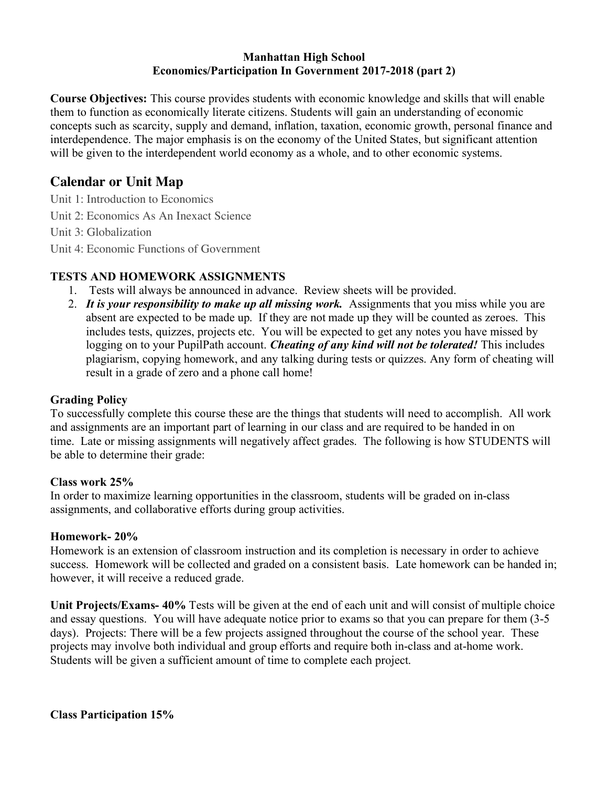#### **Manhattan High School Economics/Participation In Government 2017-2018 (part 2)**

**Course Objectives:** This course provides students with economic knowledge and skills that will enable them to function as economically literate citizens. Students will gain an understanding of economic concepts such as scarcity, supply and demand, inflation, taxation, economic growth, personal finance and interdependence. The major emphasis is on the economy of the United States, but significant attention will be given to the interdependent world economy as a whole, and to other economic systems.

# **Calendar or Unit Map**

Unit 1: Introduction to Economics Unit 2: Economics As An Inexact Science

Unit 3: Globalization

Unit 4: Economic Functions of Government

### **TESTS AND HOMEWORK ASSIGNMENTS**

- 1. Tests will always be announced in advance. Review sheets will be provided.
- 2. *It is your responsibility to make up all missing work.* Assignments that you miss while you are absent are expected to be made up. If they are not made up they will be counted as zeroes. This includes tests, quizzes, projects etc. You will be expected to get any notes you have missed by logging on to your PupilPath account. *Cheating of any kind will not be tolerated!* This includes plagiarism, copying homework, and any talking during tests or quizzes. Any form of cheating will result in a grade of zero and a phone call home!

### **Grading Policy**

To successfully complete this course these are the things that students will need to accomplish. All work and assignments are an important part of learning in our class and are required to be handed in on time. Late or missing assignments will negatively affect grades. The following is how STUDENTS will be able to determine their grade:

#### **Class work 25%**

In order to maximize learning opportunities in the classroom, students will be graded on in-class assignments, and collaborative efforts during group activities.

#### **Homework- 20%**

Homework is an extension of classroom instruction and its completion is necessary in order to achieve success. Homework will be collected and graded on a consistent basis. Late homework can be handed in; however, it will receive a reduced grade.

**Unit Projects/Exams- 40%** Tests will be given at the end of each unit and will consist of multiple choice and essay questions. You will have adequate notice prior to exams so that you can prepare for them (3-5 days). Projects: There will be a few projects assigned throughout the course of the school year. These projects may involve both individual and group efforts and require both in-class and at-home work. Students will be given a sufficient amount of time to complete each project.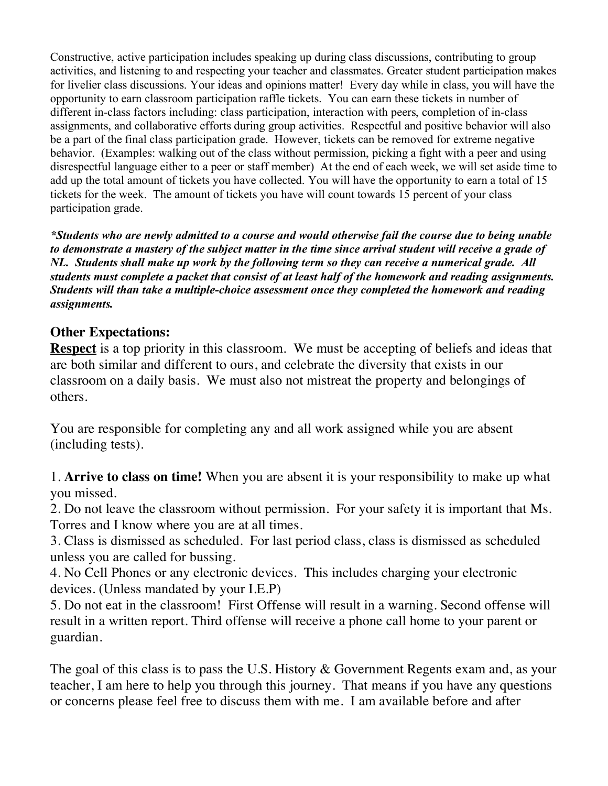Constructive, active participation includes speaking up during class discussions, contributing to group activities, and listening to and respecting your teacher and classmates. Greater student participation makes for livelier class discussions. Your ideas and opinions matter! Every day while in class, you will have the opportunity to earn classroom participation raffle tickets. You can earn these tickets in number of different in-class factors including: class participation, interaction with peers, completion of in-class assignments, and collaborative efforts during group activities. Respectful and positive behavior will also be a part of the final class participation grade. However, tickets can be removed for extreme negative behavior. (Examples: walking out of the class without permission, picking a fight with a peer and using disrespectful language either to a peer or staff member) At the end of each week, we will set aside time to add up the total amount of tickets you have collected. You will have the opportunity to earn a total of 15 tickets for the week. The amount of tickets you have will count towards 15 percent of your class participation grade.

*\*Students who are newly admitted to a course and would otherwise fail the course due to being unable to demonstrate a mastery of the subject matter in the time since arrival student will receive a grade of NL. Students shall make up work by the following term so they can receive a numerical grade. All students must complete a packet that consist of at least half of the homework and reading assignments. Students will than take a multiple-choice assessment once they completed the homework and reading assignments.* 

### **Other Expectations:**

**Respect** is a top priority in this classroom. We must be accepting of beliefs and ideas that are both similar and different to ours, and celebrate the diversity that exists in our classroom on a daily basis. We must also not mistreat the property and belongings of others.

You are responsible for completing any and all work assigned while you are absent (including tests).

1. **Arrive to class on time!** When you are absent it is your responsibility to make up what you missed.

2. Do not leave the classroom without permission. For your safety it is important that Ms. Torres and I know where you are at all times.

3. Class is dismissed as scheduled. For last period class, class is dismissed as scheduled unless you are called for bussing.

4. No Cell Phones or any electronic devices. This includes charging your electronic devices. (Unless mandated by your I.E.P)

5. Do not eat in the classroom!First Offense will result in a warning. Second offense will result in a written report. Third offense will receive a phone call home to your parent or guardian.

The goal of this class is to pass the U.S. History & Government Regents exam and, as your teacher, I am here to help you through this journey. That means if you have any questions or concerns please feel free to discuss them with me. I am available before and after